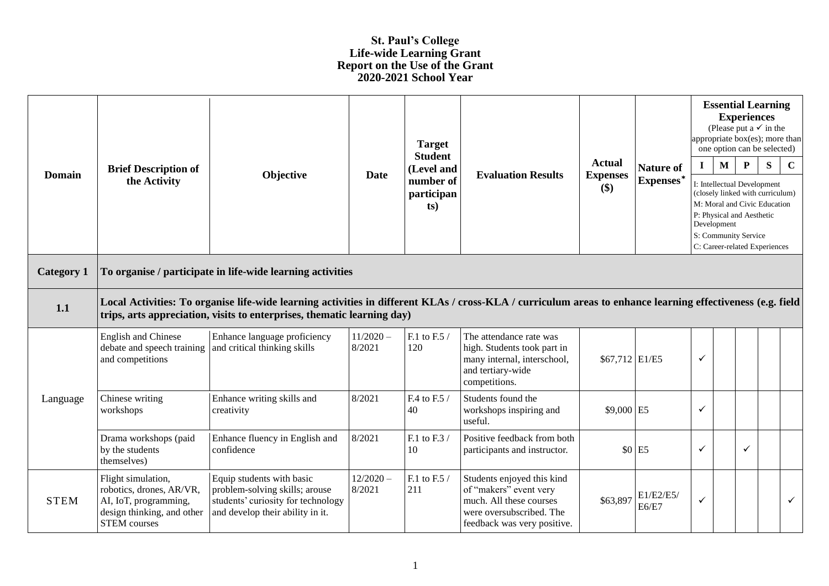## **St. Paul's College Life-wide Learning Grant Report on the Use of the Grant 2020-2021 School Year**

| <b>Domain</b>     | <b>Brief Description of</b><br>the Activity                                                                                                                                                                                           | Objective                                                                                                                             | <b>Date</b>           | <b>Target</b><br><b>Student</b><br>(Level and<br>number of<br>participan<br>ts) | <b>Evaluation Results</b>                                                                                                                  | <b>Actual</b><br><b>Expenses</b><br>\$) | <b>Nature of</b><br>Expenses* | appropriate box(es); more than<br>$\mathbf I$<br>Development | <b>Essential Learning</b><br>(Please put a $\checkmark$ in the<br>one option can be selected)<br>$\mathbf{M}$<br>I: Intellectual Development<br>(closely linked with curriculum)<br>M: Moral and Civic Education<br>P: Physical and Aesthetic<br>S: Community Service<br>C: Career-related Experiences | <b>Experiences</b><br>$\mathbf{P}$ | ${\bf S}$ | $\mathbf C$  |
|-------------------|---------------------------------------------------------------------------------------------------------------------------------------------------------------------------------------------------------------------------------------|---------------------------------------------------------------------------------------------------------------------------------------|-----------------------|---------------------------------------------------------------------------------|--------------------------------------------------------------------------------------------------------------------------------------------|-----------------------------------------|-------------------------------|--------------------------------------------------------------|--------------------------------------------------------------------------------------------------------------------------------------------------------------------------------------------------------------------------------------------------------------------------------------------------------|------------------------------------|-----------|--------------|
| <b>Category 1</b> | To organise / participate in life-wide learning activities                                                                                                                                                                            |                                                                                                                                       |                       |                                                                                 |                                                                                                                                            |                                         |                               |                                                              |                                                                                                                                                                                                                                                                                                        |                                    |           |              |
| 1.1               | Local Activities: To organise life-wide learning activities in different KLAs / cross-KLA / curriculum areas to enhance learning effectiveness (e.g. field<br>trips, arts appreciation, visits to enterprises, thematic learning day) |                                                                                                                                       |                       |                                                                                 |                                                                                                                                            |                                         |                               |                                                              |                                                                                                                                                                                                                                                                                                        |                                    |           |              |
|                   | <b>English and Chinese</b><br>debate and speech training<br>and competitions                                                                                                                                                          | Enhance language proficiency<br>and critical thinking skills                                                                          | $11/2020 -$<br>8/2021 | F.1 to F.5 /<br>120                                                             | The attendance rate was<br>high. Students took part in<br>many internal, interschool,<br>and tertiary-wide<br>competitions.                | \$67,712 E1/E5                          |                               | ✓                                                            |                                                                                                                                                                                                                                                                                                        |                                    |           |              |
| Language          | Chinese writing<br>workshops                                                                                                                                                                                                          | Enhance writing skills and<br>creativity                                                                                              | 8/2021                | F.4 to F.5 /<br>40                                                              | Students found the<br>workshops inspiring and<br>useful.                                                                                   | \$9,000 E5                              |                               | $\checkmark$                                                 |                                                                                                                                                                                                                                                                                                        |                                    |           |              |
|                   | Drama workshops (paid<br>by the students<br>themselves)                                                                                                                                                                               | Enhance fluency in English and<br>confidence                                                                                          | 8/2021                | F.1 to F.3 $/$<br>10                                                            | Positive feedback from both<br>participants and instructor.                                                                                | \$0                                     | E <sub>5</sub>                | $\checkmark$                                                 |                                                                                                                                                                                                                                                                                                        | ✓                                  |           |              |
| <b>STEM</b>       | Flight simulation,<br>robotics, drones, AR/VR,<br>AI, IoT, programming,<br>design thinking, and other<br><b>STEM</b> courses                                                                                                          | Equip students with basic<br>problem-solving skills; arouse<br>students' curiosity for technology<br>and develop their ability in it. | $12/2020 -$<br>8/2021 | F.1 to F.5 /<br>211                                                             | Students enjoyed this kind<br>of "makers" event very<br>much. All these courses<br>were oversubscribed. The<br>feedback was very positive. | \$63,897                                | E1/E2/E5/<br>E6/E7            | $\checkmark$                                                 |                                                                                                                                                                                                                                                                                                        |                                    |           | $\checkmark$ |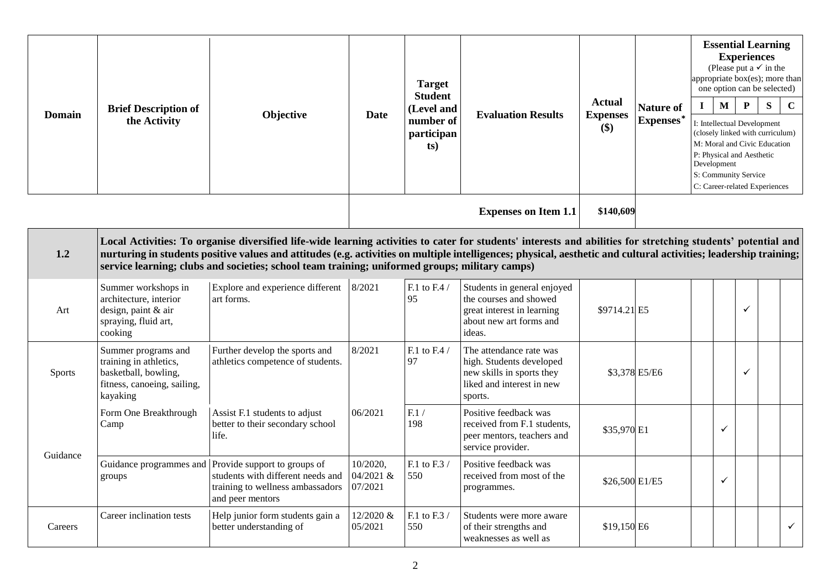| <b>Domain</b> | <b>Brief Description of</b><br>the Activity                                                                      | Objective                                                                                                                                                                                                                                                                                                                                                                                                                            | <b>Date</b>                      | <b>Target</b><br><b>Student</b><br>(Level and<br>number of<br>participan<br>ts) | <b>Evaluation Results</b>                                                                                                | <b>Actual</b><br><b>Expenses</b><br>\$) | <b>Nature of</b><br>Expenses* | $\bf{I}$ | $\mathbf M$<br>Development | <b>Essential Learning</b><br><b>Experiences</b><br>(Please put a $\checkmark$ in the<br>appropriate box(es); more than<br>one option can be selected)<br>${\bf P}$<br>I: Intellectual Development<br>(closely linked with curriculum)<br>M: Moral and Civic Education<br>P: Physical and Aesthetic<br>S: Community Service<br>C: Career-related Experiences | S | $\mathbf C$ |
|---------------|------------------------------------------------------------------------------------------------------------------|--------------------------------------------------------------------------------------------------------------------------------------------------------------------------------------------------------------------------------------------------------------------------------------------------------------------------------------------------------------------------------------------------------------------------------------|----------------------------------|---------------------------------------------------------------------------------|--------------------------------------------------------------------------------------------------------------------------|-----------------------------------------|-------------------------------|----------|----------------------------|-------------------------------------------------------------------------------------------------------------------------------------------------------------------------------------------------------------------------------------------------------------------------------------------------------------------------------------------------------------|---|-------------|
|               |                                                                                                                  |                                                                                                                                                                                                                                                                                                                                                                                                                                      |                                  |                                                                                 | <b>Expenses on Item 1.1</b>                                                                                              | \$140,609                               |                               |          |                            |                                                                                                                                                                                                                                                                                                                                                             |   |             |
| 1.2           |                                                                                                                  | Local Activities: To organise diversified life-wide learning activities to cater for students' interests and abilities for stretching students' potential and<br>nurturing in students positive values and attitudes (e.g. activities on multiple intelligences; physical, aesthetic and cultural activities; leadership training;<br>service learning; clubs and societies; school team training; uniformed groups; military camps) |                                  |                                                                                 |                                                                                                                          |                                         |                               |          |                            |                                                                                                                                                                                                                                                                                                                                                             |   |             |
| Art           | Summer workshops in<br>architecture, interior<br>design, paint & air<br>spraying, fluid art,<br>cooking          | Explore and experience different<br>art forms.                                                                                                                                                                                                                                                                                                                                                                                       | 8/2021                           | F.1 to F.4 $/$<br>95                                                            | Students in general enjoyed<br>the courses and showed<br>great interest in learning<br>about new art forms and<br>ideas. | \$9714.21 E5                            |                               |          |                            | ✓                                                                                                                                                                                                                                                                                                                                                           |   |             |
| Sports        | Summer programs and<br>training in athletics,<br>basketball, bowling,<br>fitness, canoeing, sailing,<br>kayaking | Further develop the sports and<br>athletics competence of students.                                                                                                                                                                                                                                                                                                                                                                  | 8/2021                           | F.1 to F.4 /<br>97                                                              | The attendance rate was<br>high. Students developed<br>new skills in sports they<br>liked and interest in new<br>sports. |                                         | \$3,378 E5/E6                 |          |                            | $\checkmark$                                                                                                                                                                                                                                                                                                                                                |   |             |
| Guidance      | Form One Breakthrough<br>Camp                                                                                    | Assist F.1 students to adjust<br>better to their secondary school<br>life.                                                                                                                                                                                                                                                                                                                                                           | 06/2021                          | F.1/<br>198                                                                     | Positive feedback was<br>received from F.1 students,<br>peer mentors, teachers and<br>service provider.                  | \$35,970 E1                             |                               |          | ✓                          |                                                                                                                                                                                                                                                                                                                                                             |   |             |
|               | Guidance programmes and<br>groups                                                                                | Provide support to groups of<br>students with different needs and<br>training to wellness ambassadors<br>and peer mentors                                                                                                                                                                                                                                                                                                            | 10/2020,<br>04/2021 &<br>07/2021 | F.1 to F.3 $\prime$<br>550                                                      | Positive feedback was<br>received from most of the<br>programmes.                                                        | \$26,500 E1/E5                          |                               |          | ✓                          |                                                                                                                                                                                                                                                                                                                                                             |   |             |
| Careers       | Career inclination tests                                                                                         | Help junior form students gain a<br>better understanding of                                                                                                                                                                                                                                                                                                                                                                          | 12/2020 &<br>05/2021             | F.1 to F.3 /<br>550                                                             | Students were more aware<br>of their strengths and<br>weaknesses as well as                                              | \$19,150 E6                             |                               |          |                            |                                                                                                                                                                                                                                                                                                                                                             |   | ✓           |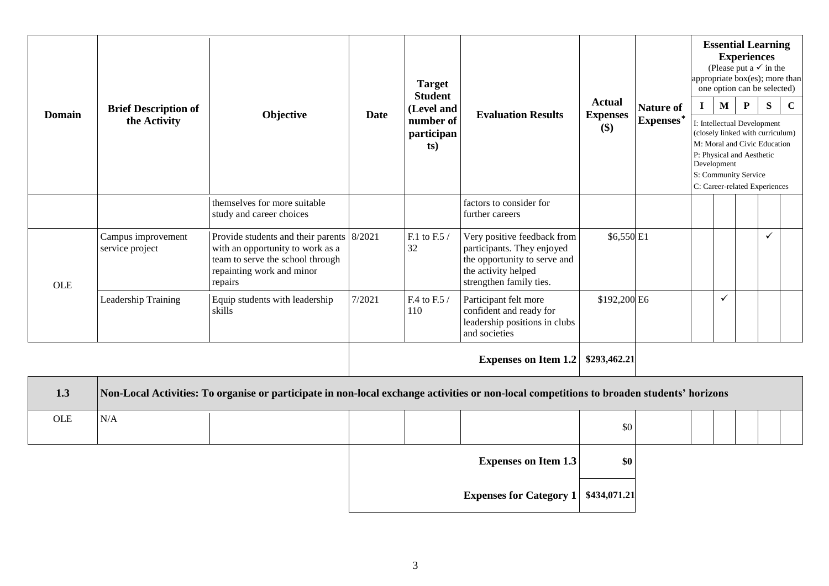|               | <b>Brief Description of</b><br>the Activity | Objective                                                                                                                                                 | <b>Date</b> | <b>Target</b><br><b>Student</b><br>(Level and<br>number of<br>participan<br>ts) | <b>Evaluation Results</b>                                                                                                                   | <b>Actual</b><br><b>Expenses</b><br>$($)$ |                               | <b>Essential Learning</b><br><b>Experiences</b><br>(Please put a $\checkmark$ in the<br>appropriate box(es); more than<br>one option can be selected) |                                                                                                                                                                                                                      |              |   |             |  |
|---------------|---------------------------------------------|-----------------------------------------------------------------------------------------------------------------------------------------------------------|-------------|---------------------------------------------------------------------------------|---------------------------------------------------------------------------------------------------------------------------------------------|-------------------------------------------|-------------------------------|-------------------------------------------------------------------------------------------------------------------------------------------------------|----------------------------------------------------------------------------------------------------------------------------------------------------------------------------------------------------------------------|--------------|---|-------------|--|
| <b>Domain</b> |                                             |                                                                                                                                                           |             |                                                                                 |                                                                                                                                             |                                           | <b>Nature of</b><br>Expenses* | $\mathbf{I}$                                                                                                                                          | $\mathbf{M}$<br>I: Intellectual Development<br>(closely linked with curriculum)<br>M: Moral and Civic Education<br>P: Physical and Aesthetic<br>Development<br>S: Community Service<br>C: Career-related Experiences | $\mathbf{P}$ | S | $\mathbf C$ |  |
|               |                                             | themselves for more suitable<br>study and career choices                                                                                                  |             |                                                                                 | factors to consider for<br>further careers                                                                                                  |                                           |                               |                                                                                                                                                       |                                                                                                                                                                                                                      |              |   |             |  |
| <b>OLE</b>    | Campus improvement<br>service project       | Provide students and their parents 8/2021<br>with an opportunity to work as a<br>team to serve the school through<br>repainting work and minor<br>repairs |             | F.1 to F.5 /<br>32                                                              | Very positive feedback from<br>participants. They enjoyed<br>the opportunity to serve and<br>the activity helped<br>strengthen family ties. | \$6,550 E1                                |                               |                                                                                                                                                       |                                                                                                                                                                                                                      |              | ✓ |             |  |
|               | Leadership Training                         | Equip students with leadership<br>skills                                                                                                                  | 7/2021      | F.4 to F.5 /<br>110                                                             | Participant felt more<br>confident and ready for<br>leadership positions in clubs<br>and societies                                          | \$192,200 E6                              |                               |                                                                                                                                                       | $\checkmark$                                                                                                                                                                                                         |              |   |             |  |
|               |                                             |                                                                                                                                                           |             |                                                                                 | <b>Expenses on Item 1.2</b>                                                                                                                 | \$293,462.21                              |                               |                                                                                                                                                       |                                                                                                                                                                                                                      |              |   |             |  |
| 1.3           |                                             | Non-Local Activities: To organise or participate in non-local exchange activities or non-local competitions to broaden students' horizons                 |             |                                                                                 |                                                                                                                                             |                                           |                               |                                                                                                                                                       |                                                                                                                                                                                                                      |              |   |             |  |
| <b>OLE</b>    | N/A                                         |                                                                                                                                                           |             |                                                                                 |                                                                                                                                             | \$0                                       |                               |                                                                                                                                                       |                                                                                                                                                                                                                      |              |   |             |  |

| <b>Expenses on Item 1.3</b>            |
|----------------------------------------|
| Expenses for Category 1   \$434,071.21 |